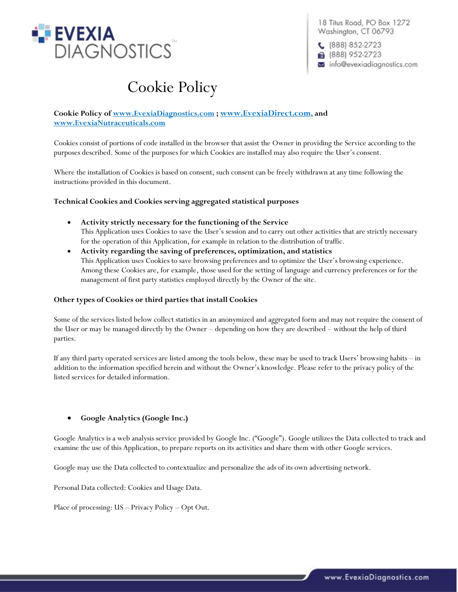

18 Titus Road, PO Box 1272 Washington, CT 06793

 $C$  (888) 852-2723 **■** (888) 952-2723 info@evexiadiagnostics.com

# Cookie Policy

# **Cookie Policy of [www.EvexiaDiagnostics.com](http://www.evexiadiagnostics.com/) ; [www.EvexiaDirect.com](http://www.evexiadirect.com/), and [www.EvexiaNutraceuticals.com](http://www.evexianutraceuticals.com/)**

Cookies consist of portions of code installed in the browser that assist the Owner in providing the Service according to the purposes described. Some of the purposes for which Cookies are installed may also require the User's consent.

Where the installation of Cookies is based on consent, such consent can be freely withdrawn at any time following the instructions provided in this document.

# **Technical Cookies and Cookies serving aggregated statistical purposes**

- **Activity strictly necessary for the functioning of the Service** This Application uses Cookies to save the User's session and to carry out other activities that are strictly necessary for the operation of this Application, for example in relation to the distribution of traffic.
- **Activity regarding the saving of preferences, optimization, and statistics** This Application uses Cookies to save browsing preferences and to optimize the User's browsing experience. Among these Cookies are, for example, those used for the setting of language and currency preferences or for the management of first party statistics employed directly by the Owner of the site.

# **Other types of Cookies or third parties that install Cookies**

Some of the services listed below collect statistics in an anonymized and aggregated form and may not require the consent of the User or may be managed directly by the Owner – depending on how they are described – without the help of third parties.

If any third party operated services are listed among the tools below, these may be used to track Users' browsing habits – in addition to the information specified herein and without the Owner's knowledge. Please refer to the privacy policy of the listed services for detailed information.

# • **Google Analytics (Google Inc.)**

Google Analytics is a web analysis service provided by Google Inc. ("Google"). Google utilizes the Data collected to track and examine the use of this Application, to prepare reports on its activities and share them with other Google services.

Google may use the Data collected to contextualize and personalize the ads of its own advertising network.

Personal Data collected: Cookies and Usage Data.

Place of processing: US – Privacy Policy – Opt Out.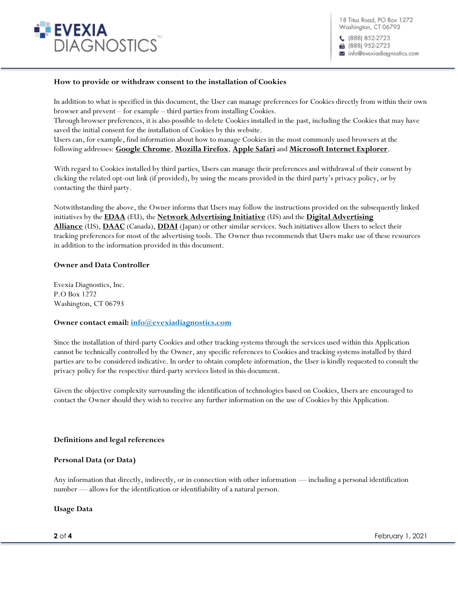

 $(888) 852-2723$ ■ (888) 952-2723 a info@evexiadiagnostics.com

## **How to provide or withdraw consent to the installation of Cookies**

In addition to what is specified in this document, the User can manage preferences for Cookies directly from within their own browser and prevent – for example – third parties from installing Cookies.

Through browser preferences, it is also possible to delete Cookies installed in the past, including the Cookies that may have saved the initial consent for the installation of Cookies by this website.

Users can, for example, find information about how to manage Cookies in the most commonly used browsers at the following addresses: **Google Chrome**, **Mozilla Firefox**, **Apple Safari** and **Microsoft Internet Explorer**.

With regard to Cookies installed by third parties, Users can manage their preferences and withdrawal of their consent by clicking the related opt-out link (if provided), by using the means provided in the third party's privacy policy, or by contacting the third party.

Notwithstanding the above, the Owner informs that Users may follow the instructions provided on the subsequently linked initiatives by the **EDAA** (EU), the **Network Advertising Initiative** (US) and the **Digital Advertising Alliance** (US), **DAAC** (Canada), **DDAI** (Japan) or other similar services. Such initiatives allow Users to select their tracking preferences for most of the advertising tools. The Owner thus recommends that Users make use of these resources in addition to the information provided in this document.

## **Owner and Data Controller**

Evexia Diagnostics, Inc. P.O Box 1272 Washington, CT 06793

# **Owner contact email: [info@evexiadiagnostics.com](mailto:info@evexiadiagnostics.com)**

Since the installation of third-party Cookies and other tracking systems through the services used within this Application cannot be technically controlled by the Owner, any specific references to Cookies and tracking systems installed by third parties are to be considered indicative. In order to obtain complete information, the User is kindly requested to consult the privacy policy for the respective third-party services listed in this document.

Given the objective complexity surrounding the identification of technologies based on Cookies, Users are encouraged to contact the Owner should they wish to receive any further information on the use of Cookies by this Application.

# **Definitions and legal references**

# **Personal Data (or Data)**

Any information that directly, indirectly, or in connection with other information — including a personal identification number — allows for the identification or identifiability of a natural person.

#### **Usage Data**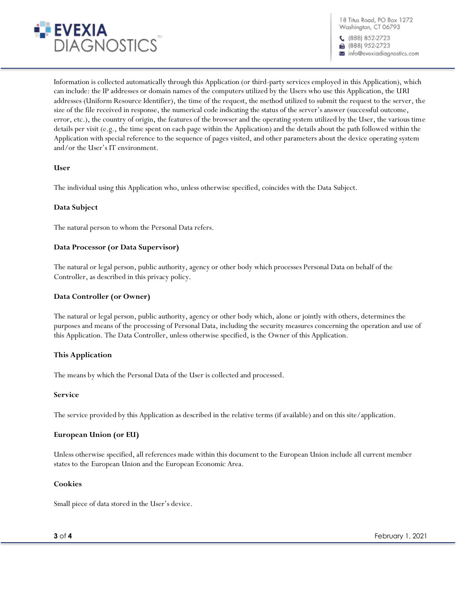

18 Titus Road, PO Box 1272 Washington, CT 06793

(888) 852-2723 ■ (888) 952-2723 info@evexiadiaanostics.com

Information is collected automatically through this Application (or third-party services employed in this Application), which can include: the IP addresses or domain names of the computers utilized by the Users who use this Application, the URI addresses (Uniform Resource Identifier), the time of the request, the method utilized to submit the request to the server, the size of the file received in response, the numerical code indicating the status of the server's answer (successful outcome, error, etc.), the country of origin, the features of the browser and the operating system utilized by the User, the various time details per visit (e.g., the time spent on each page within the Application) and the details about the path followed within the Application with special reference to the sequence of pages visited, and other parameters about the device operating system and/or the User's IT environment.

# **User**

The individual using this Application who, unless otherwise specified, coincides with the Data Subject.

## **Data Subject**

The natural person to whom the Personal Data refers.

## **Data Processor (or Data Supervisor)**

The natural or legal person, public authority, agency or other body which processes Personal Data on behalf of the Controller, as described in this privacy policy.

#### **Data Controller (or Owner)**

The natural or legal person, public authority, agency or other body which, alone or jointly with others, determines the purposes and means of the processing of Personal Data, including the security measures concerning the operation and use of this Application. The Data Controller, unless otherwise specified, is the Owner of this Application.

#### **This Application**

The means by which the Personal Data of the User is collected and processed.

#### **Service**

The service provided by this Application as described in the relative terms (if available) and on this site/application.

#### **European Union (or EU)**

Unless otherwise specified, all references made within this document to the European Union include all current member states to the European Union and the European Economic Area.

#### **Cookies**

Small piece of data stored in the User's device.